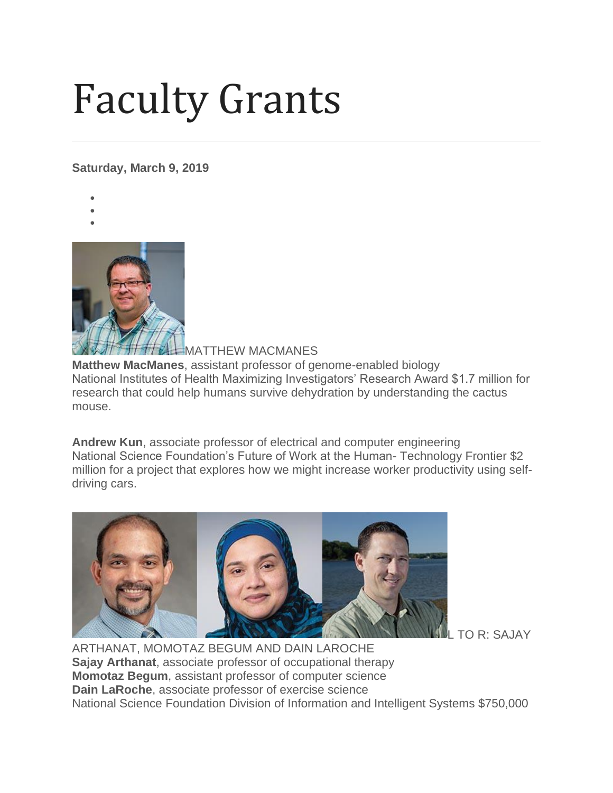## Faculty Grants

**Saturday, March 9, 2019**

- •
- •



MATTHEW MACMANES **Matthew MacManes**, assistant professor of genome-enabled biology National Institutes of Health Maximizing Investigators' Research Award \$1.7 million for research that could help humans survive dehydration by understanding the cactus mouse.

**Andrew Kun**, associate professor of electrical and computer engineering National Science Foundation's Future of Work at the Human- Technology Frontier \$2 million for a project that explores how we might increase worker productivity using selfdriving cars.



TO R: SAJAY

ARTHANAT, MOMOTAZ BEGUM AND DAIN LAROCHE **Sajay Arthanat**, associate professor of occupational therapy **Momotaz Begum**, assistant professor of computer science **Dain LaRoche**, associate professor of exercise science National Science Foundation Division of Information and Intelligent Systems \$750,000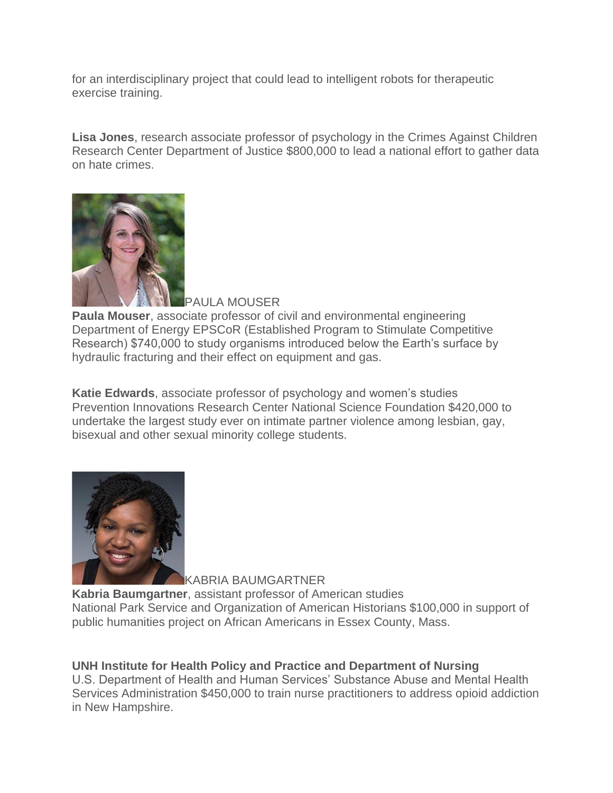for an interdisciplinary project that could lead to intelligent robots for therapeutic exercise training.

**Lisa Jones**, research associate professor of psychology in the Crimes Against Children Research Center Department of Justice \$800,000 to lead a national effort to gather data on hate crimes.



PAULA MOUSER

**Paula Mouser**, associate professor of civil and environmental engineering Department of Energy EPSCoR (Established Program to Stimulate Competitive Research) \$740,000 to study organisms introduced below the Earth's surface by hydraulic fracturing and their effect on equipment and gas.

**Katie Edwards**, associate professor of psychology and women's studies Prevention Innovations Research Center National Science Foundation \$420,000 to undertake the largest study ever on intimate partner violence among lesbian, gay, bisexual and other sexual minority college students.



KABRIA BAUMGARTNER

**Kabria Baumgartner**, assistant professor of American studies National Park Service and Organization of American Historians \$100,000 in support of public humanities project on African Americans in Essex County, Mass.

## **UNH Institute for Health Policy and Practice and Department of Nursing**

U.S. Department of Health and Human Services' Substance Abuse and Mental Health Services Administration \$450,000 to train nurse practitioners to address opioid addiction in New Hampshire.